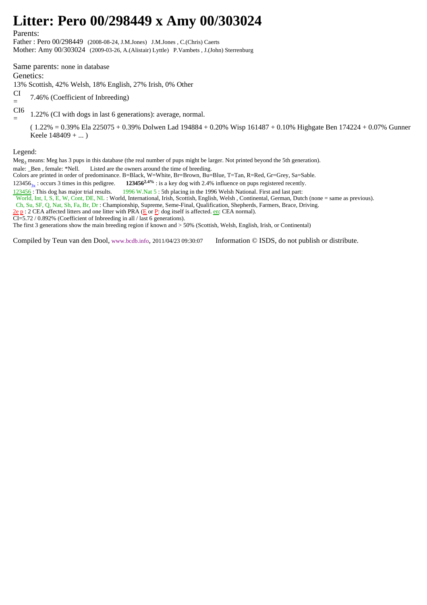## **Litter: Pero 00/298449 x Amy 00/303024**

Parents:

Father : Pero 00/298449 (2008-08-24, J.M.Jones) J.M.Jones , C.(Chris) Caerts Mother: Amy 00/303024 (2009-03-26, A.(Alistair) Lyttle) P.Vambets , J.(John) Sterrenburg

Same parents: none in database Genetics:

13% Scottish, 42% Welsh, 18% English, 27% Irish, 0% Other

CI = 7.46% (Coefficient of Inbreeding)

CI6

= 1.22% (CI with dogs in last 6 generations): average, normal.

( 1.22% = 0.39% Ela 225075 + 0.39% Dolwen Lad 194884 + 0.20% Wisp 161487 + 0.10% Highgate Ben 174224 + 0.07% Gunner Keele 148409 + ... )

Legend:

Meg<sub>3</sub> means: Meg has 3 pups in this database (the real number of pups might be larger. Not printed beyond the 5th generation).

male: \_Ben , female: \*Nell. Listed are the owners around the time of breeding.

Colors are printed in order of predominance. B=Black, W=White, Br=Brown, Bu=Blue, T=Tan, R=Red, Gr=Grey, Sa=Sable.

123456<sub>3x</sub> : occurs 3 times in this pedigree. **123456<sup>2.4%</sup>** : is a key dog with 2.4% influence on pups registered recently.<br><u>123456</u> : This dog has major trial results. **1996 W.Nat 5** : 5th placing in the 1996 Welsh Nati

1996 W.Nat 5 : 5th placing in the 1996 Welsh National. First and last part:

World, Int, I, S, E, W, Cont, DE, NL : World, International, Irish, Scottish, English, Welsh , Continental, German, Dutch (none = same as previous).

Ch, Su, SF, Q, Nat, Sh, Fa, Br, Dr : Championship, Supreme, Seme-Final, Qualification, Shepherds, Farmers, Brace, Driving.

 $2e p$ : 2 CEA affected litters and one litter with PRA ( $E$  or P: dog itself is affected. en: CEA normal).

CI=5.72 / 0.892% (Coefficient of Inbreeding in all / last 6 generations).

The first 3 generations show the main breeding region if known and > 50% (Scottish, Welsh, English, Irish, or Continental)

Compiled by Teun van den Dool, www.bcdb.info, 2011/04/23 09:30:07 Information © ISDS, do not publish or distribute.